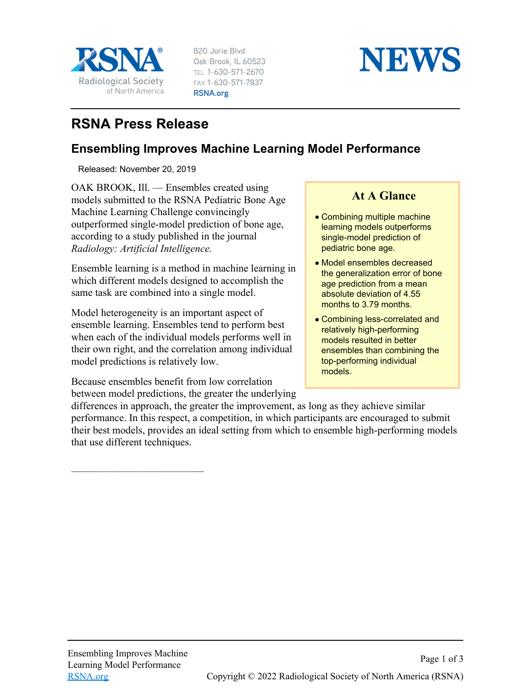

820 Jorie Blvd Oak Brook, IL 60523 TEL 1-630-571-2670 FAX 1-630-571-7837 RSNA.org



## **RSNA Press Release**

## **Ensembling Improves Machine Learning Model Performance**

Released: November 20, 2019

OAK BROOK, Ill. — Ensembles created using models submitted to the RSNA Pediatric Bone Age Machine Learning Challenge convincingly outperformed single-model prediction of bone age, according to a study published in the journal *Radiology: Artificial Intelligence.*

Ensemble learning is a method in machine learning in which different models designed to accomplish the same task are combined into a single model.

Model heterogeneity is an important aspect of ensemble learning. Ensembles tend to perform best when each of the individual models performs well in their own right, and the correlation among individual model predictions is relatively low.

Because ensembles benefit from low correlation between model predictions, the greater the underlying

## **At A Glance**

- Combining multiple machine learning models outperforms single-model prediction of pediatric bone age.
- Model ensembles decreased the generalization error of bone age prediction from a mean absolute deviation of 4.55 months to 3.79 months.
- Combining less-correlated and relatively high-performing models resulted in better ensembles than combining the top-performing individual models.

differences in approach, the greater the improvement, as long as they achieve similar performance. In this respect, a competition, in which participants are encouraged to submit their best models, provides an ideal setting from which to ensemble high-performing models that use different techniques.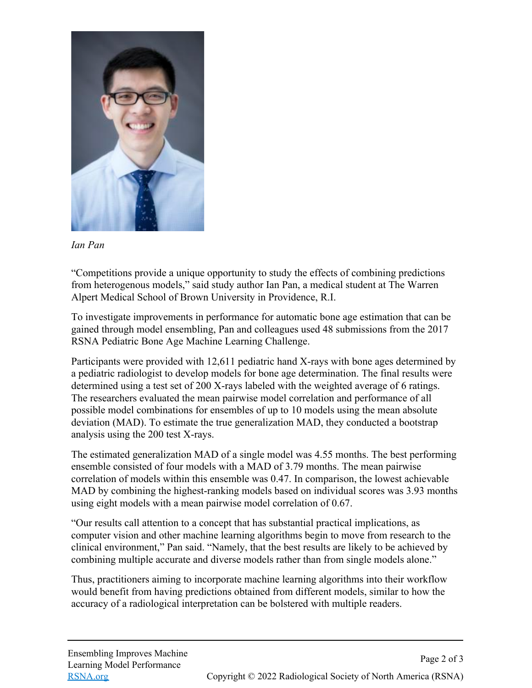

*Ian Pan*

"Competitions provide a unique opportunity to study the effects of combining predictions from heterogenous models," said study author Ian Pan, a medical student at The Warren Alpert Medical School of Brown University in Providence, R.I.

To investigate improvements in performance for automatic bone age estimation that can be gained through model ensembling, Pan and colleagues used 48 submissions from the 2017 RSNA Pediatric Bone Age Machine Learning Challenge.

Participants were provided with 12,611 pediatric hand X-rays with bone ages determined by a pediatric radiologist to develop models for bone age determination. The final results were determined using a test set of 200 X-rays labeled with the weighted average of 6 ratings. The researchers evaluated the mean pairwise model correlation and performance of all possible model combinations for ensembles of up to 10 models using the mean absolute deviation (MAD). To estimate the true generalization MAD, they conducted a bootstrap analysis using the 200 test X-rays.

The estimated generalization MAD of a single model was 4.55 months. The best performing ensemble consisted of four models with a MAD of 3.79 months. The mean pairwise correlation of models within this ensemble was 0.47. In comparison, the lowest achievable MAD by combining the highest-ranking models based on individual scores was 3.93 months using eight models with a mean pairwise model correlation of 0.67.

"Our results call attention to a concept that has substantial practical implications, as computer vision and other machine learning algorithms begin to move from research to the clinical environment," Pan said. "Namely, that the best results are likely to be achieved by combining multiple accurate and diverse models rather than from single models alone."

Thus, practitioners aiming to incorporate machine learning algorithms into their workflow would benefit from having predictions obtained from different models, similar to how the accuracy of a radiological interpretation can be bolstered with multiple readers.